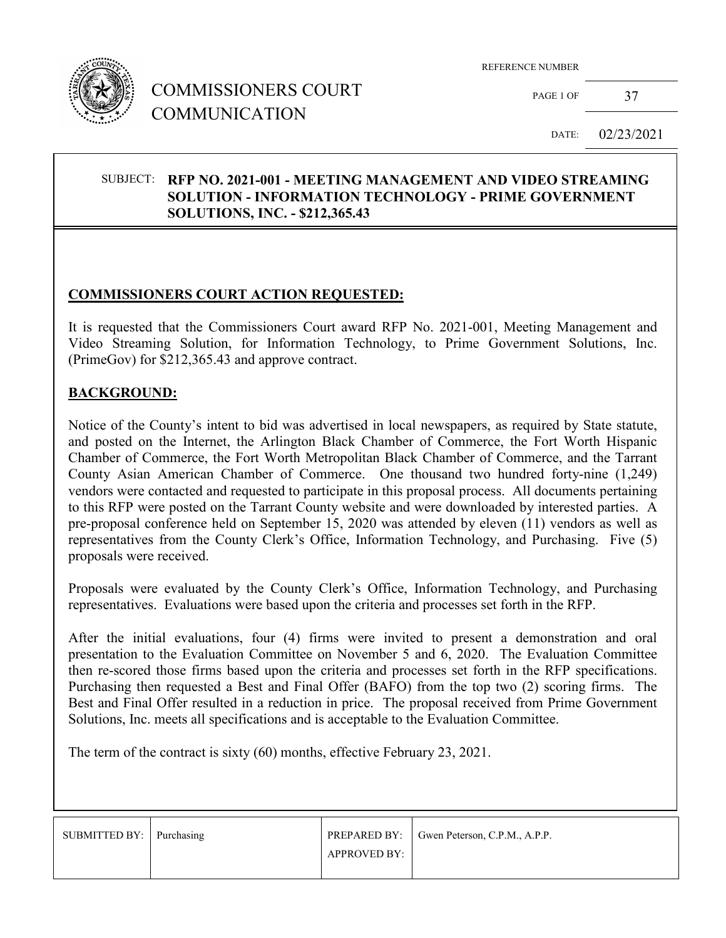

## COMMISSIONERS COURT COMMUNICATION

REFERENCE NUMBER

PAGE 1 OF 37

DATE: 02/23/2021

#### SUBJECT: **RFP NO. 2021-001 - MEETING MANAGEMENT AND VIDEO STREAMING SOLUTION - INFORMATION TECHNOLOGY - PRIME GOVERNMENT SOLUTIONS, INC. - \$212,365.43**

## **COMMISSIONERS COURT ACTION REQUESTED:**

It is requested that the Commissioners Court award RFP No. 2021-001, Meeting Management and Video Streaming Solution, for Information Technology, to Prime Government Solutions, Inc. (PrimeGov) for \$212,365.43 and approve contract.

#### **BACKGROUND:**

Notice of the County's intent to bid was advertised in local newspapers, as required by State statute, and posted on the Internet, the Arlington Black Chamber of Commerce, the Fort Worth Hispanic Chamber of Commerce, the Fort Worth Metropolitan Black Chamber of Commerce, and the Tarrant County Asian American Chamber of Commerce. One thousand two hundred forty-nine (1,249) vendors were contacted and requested to participate in this proposal process. All documents pertaining to this RFP were posted on the Tarrant County website and were downloaded by interested parties. A pre-proposal conference held on September 15, 2020 was attended by eleven (11) vendors as well as representatives from the County Clerk's Office, Information Technology, and Purchasing. Five (5) proposals were received.

Proposals were evaluated by the County Clerk's Office, Information Technology, and Purchasing representatives. Evaluations were based upon the criteria and processes set forth in the RFP.

After the initial evaluations, four (4) firms were invited to present a demonstration and oral presentation to the Evaluation Committee on November 5 and 6, 2020. The Evaluation Committee then re-scored those firms based upon the criteria and processes set forth in the RFP specifications. Purchasing then requested a Best and Final Offer (BAFO) from the top two (2) scoring firms. The Best and Final Offer resulted in a reduction in price. The proposal received from Prime Government Solutions, Inc. meets all specifications and is acceptable to the Evaluation Committee.

The term of the contract is sixty (60) months, effective February 23, 2021.

| SUBMITTED BY: Purchasing |                     | PREPARED BY: Gwen Peterson, C.P.M., A.P.P. |
|--------------------------|---------------------|--------------------------------------------|
|                          | <b>APPROVED BY:</b> |                                            |